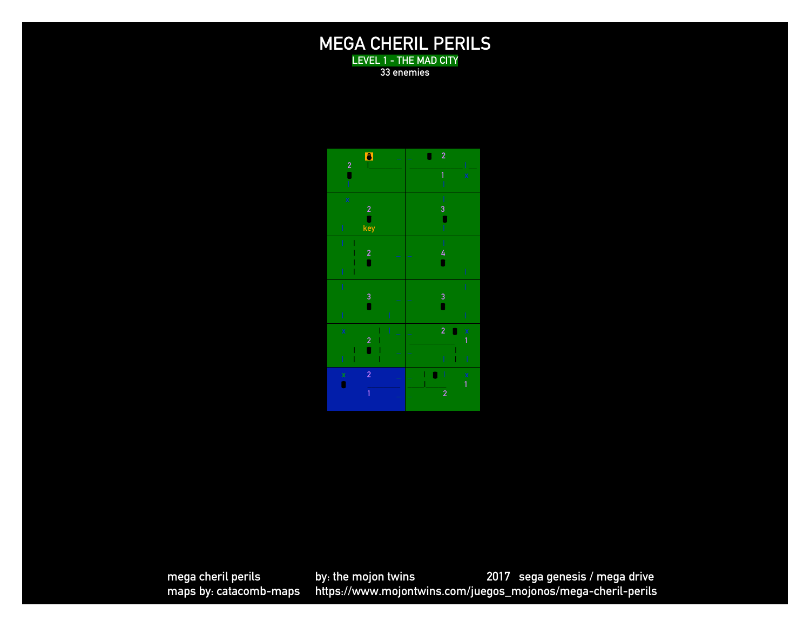### **MEGA CHERIL PERILS LEVEL 1 - THE MAD CITY**

**33 enemies**

! **\_ 2 |\_\_\_\_\_\_\_\_** " **\_** " **2 1 x 2** " **| key**  $\blacksquare$ **|** "  $\blacksquare$ **3**  "  $\blacksquare$ **x | | 2 | |** " **| \_ | | | 2** "**<sup>x</sup> | | | x 2**   $\blacksquare$ **\_ |** " **| <sup>x</sup> \_\_\_\_|\_\_\_\_\_ 1**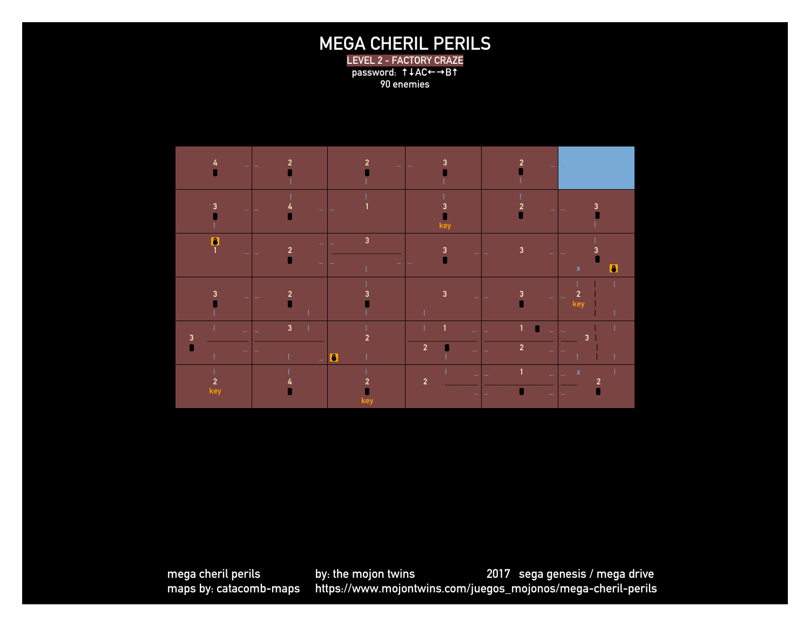# **MEGA CHERIL PERILS**

**LEVEL 2 - FACTORY CRAZE password: ↑↓AC←→B↑ 90 enemies**

| 4<br>e                | $\overline{2}$      | $\overline{2}$<br>٠              | 3                              | $\overline{2}$       | $\overline{\phantom{0}}$                 |
|-----------------------|---------------------|----------------------------------|--------------------------------|----------------------|------------------------------------------|
| $\mathbf{3}$<br>÷     | 4<br>۰              |                                  | 3<br>key                       | $\overline{2}$<br>٠  | $\overline{\mathbf{3}}$                  |
| $\frac{1}{1}$<br>÷    | $\mathbf 2$         | $\mathsf 3$                      | $\mathbf{3}$                   | 3                    | 3<br>$\overline{\bullet}$<br>$\mathsf X$ |
| $\mathbf{3}$<br>÷     | $\overline{2}$      | 3                                | $\mathbf{3}$                   | $\overline{3}$<br>÷, | $\overline{2}$<br>key                    |
|                       | $\overline{3}$<br>۰ | $\overline{2}$<br>$\blacksquare$ | $\mathbf{1}$<br>$\overline{2}$ | 1<br>$\overline{2}$  | 3                                        |
| $\mathfrak{p}$<br>key |                     | $\overline{2}$<br>kei            | $\overline{2}$                 | $\overline{1}$<br>۵  | $\mathsf{x}$<br>$\overline{2}$           |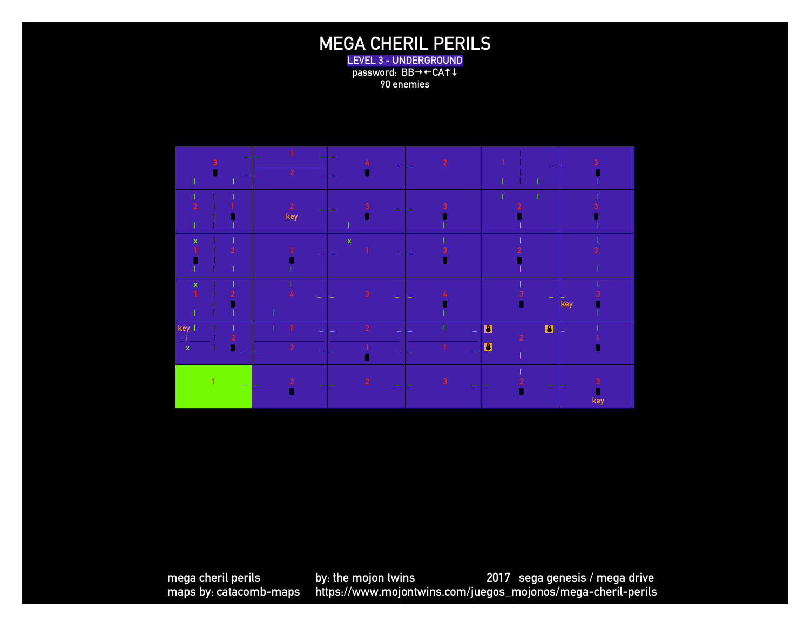### **MEGA CHERIL PERILS LEVEL 3 - UNDERGROUND**

password: BB $\rightarrow$  $\leftarrow$ CA<sup>1</sup> **90 enemies**

|                    | г |                           | $\overline{2}$    | 4<br>$\equiv$           |   |                                                    |                       |
|--------------------|---|---------------------------|-------------------|-------------------------|---|----------------------------------------------------|-----------------------|
|                    |   |                           | $\sqrt{2}$<br>key | 3<br>÷                  |   |                                                    |                       |
| $\mathbf{x}$       |   | $\overline{2}$            | ÷                 | $\bar{\mathbf{x}}$<br>÷ |   |                                                    |                       |
| $\mathbf{x}$       |   |                           | ÷                 | $\overline{3}$<br>÷     |   | $\overline{\phantom{a}}$<br>d                      | $\bar{\mathsf{k}}$ ey |
| key<br>$\mathbf x$ |   | $\overline{2}$<br>Ø<br>u, | $\overline{2}$    | $\overline{2}$          | ÷ | $\bullet$<br>$\blacksquare$<br>$\overline{2}$<br>O |                       |
|                    |   | Ξ.                        | $\overline{2}$    | $\overline{2}$          | 3 |                                                    | key                   |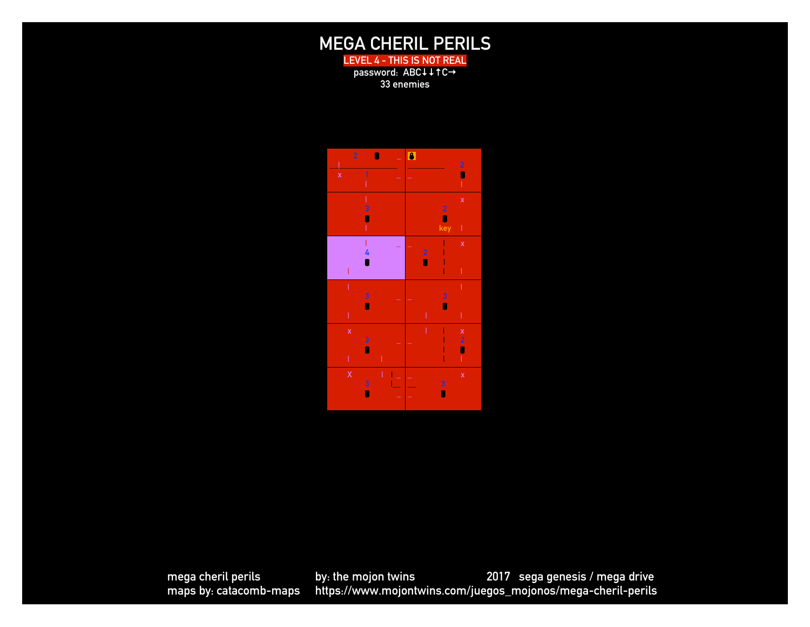## **MEGA CHERIL PERILS**

**LEVEL 4 - THIS IS NOT REAL password: ABC↓↓↑C→ 33 enemies**